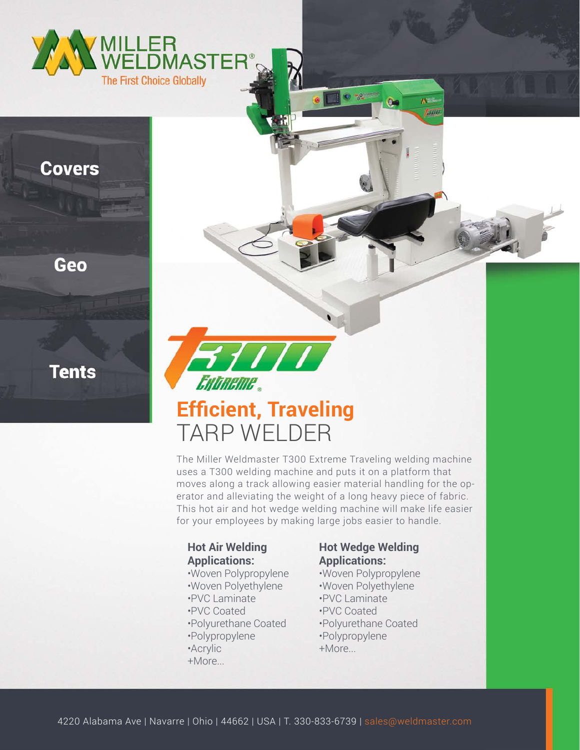

### **Covers**

Geo

**Tents** 



# **Efficient, Traveling** TARP WELDER

The Miller Weldmaster T300 Extreme Traveling welding machine uses a T300 welding machine and puts it on a platform that moves along a track allowing easier material handling for the operator and alleviating the weight of a long heavy piece of fabric. This hot air and hot wedge welding machine will make life easier for your employees by making large jobs easier to handle.

#### **Hot Air Welding Applications:**

- •Woven Polypropylene
- •Woven Polyethylene
- •PVC Laminate
- •PVC Coated
- •Polyurethane Coated
- •Polypropylene
- •Acrylic
- +More...

#### **Hot Wedge Welding Applications:**

**A'sside** taun

•Woven Polypropylene •Woven Polyethylene •PVC Laminate •PVC Coated •Polyurethane Coated •Polypropylene +More...